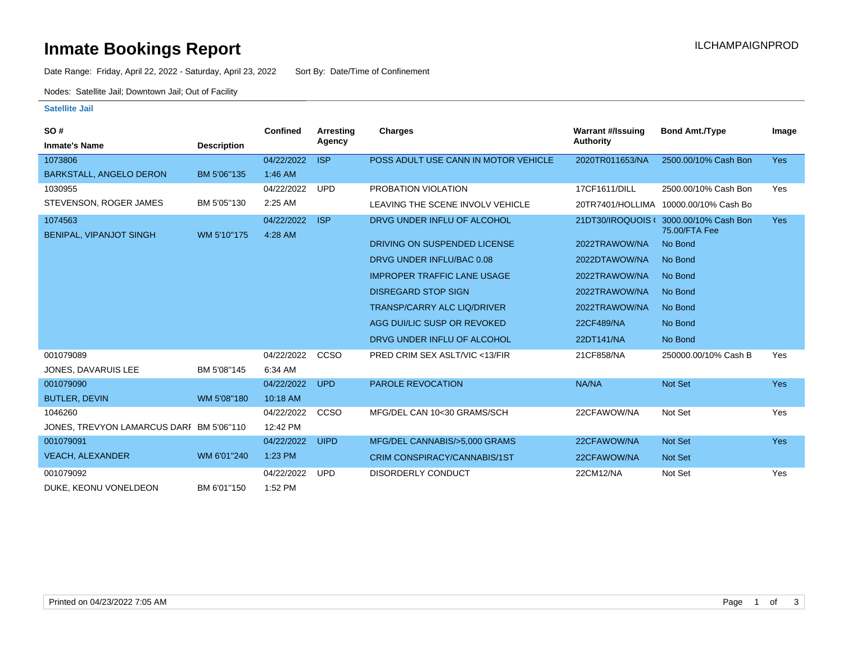## **Inmate Bookings Report International Contract Contract Contract Contract Contract Contract Contract Contract Contract Contract Contract Contract Contract Contract Contract Contract Contract Contract Contract Contract Co**

Date Range: Friday, April 22, 2022 - Saturday, April 23, 2022 Sort By: Date/Time of Confinement

Nodes: Satellite Jail; Downtown Jail; Out of Facility

#### **Satellite Jail**

| SO#                                      |                    | Confined              | Arresting   | Charges                              | <b>Warrant #/Issuing</b> | <b>Bond Amt./Type</b>                 | Image      |
|------------------------------------------|--------------------|-----------------------|-------------|--------------------------------------|--------------------------|---------------------------------------|------------|
| <b>Inmate's Name</b>                     | <b>Description</b> |                       | Agency      |                                      | Authority                |                                       |            |
| 1073806                                  |                    | 04/22/2022            | <b>ISP</b>  | POSS ADULT USE CANN IN MOTOR VEHICLE | 2020TR011653/NA          | 2500.00/10% Cash Bon                  | <b>Yes</b> |
| <b>BARKSTALL, ANGELO DERON</b>           | BM 5'06"135        | $1:46$ AM             |             |                                      |                          |                                       |            |
| 1030955                                  |                    | 04/22/2022            | <b>UPD</b>  | PROBATION VIOLATION                  | 17CF1611/DILL            | 2500.00/10% Cash Bon                  | Yes        |
| STEVENSON, ROGER JAMES                   | BM 5'05"130        | 2:25 AM               |             | LEAVING THE SCENE INVOLV VEHICLE     |                          | 20TR7401/HOLLIMA 10000.00/10% Cash Bo |            |
| 1074563<br>BENIPAL, VIPANJOT SINGH       | WM 5'10"175        | 04/22/2022<br>4:28 AM | <b>ISP</b>  | DRVG UNDER INFLU OF ALCOHOL          | 21DT30/IROQUOIS (        | 3000.00/10% Cash Bon<br>75.00/FTA Fee | <b>Yes</b> |
|                                          |                    |                       |             | DRIVING ON SUSPENDED LICENSE         | 2022TRAWOW/NA            | No Bond                               |            |
|                                          |                    |                       |             | DRVG UNDER INFLU/BAC 0.08            | 2022DTAWOW/NA            | No Bond                               |            |
|                                          |                    |                       |             | <b>IMPROPER TRAFFIC LANE USAGE</b>   | 2022TRAWOW/NA            | No Bond                               |            |
|                                          |                    |                       |             | <b>DISREGARD STOP SIGN</b>           | 2022TRAWOW/NA            | No Bond                               |            |
|                                          |                    |                       |             | <b>TRANSP/CARRY ALC LIQ/DRIVER</b>   | 2022TRAWOW/NA            | No Bond                               |            |
|                                          |                    |                       |             | AGG DUI/LIC SUSP OR REVOKED          | 22CF489/NA               | No Bond                               |            |
|                                          |                    |                       |             | DRVG UNDER INFLU OF ALCOHOL          | 22DT141/NA               | No Bond                               |            |
| 001079089                                |                    | 04/22/2022            | CCSO        | PRED CRIM SEX ASLT/VIC <13/FIR       | 21CF858/NA               | 250000.00/10% Cash B                  | Yes        |
| JONES, DAVARUIS LEE                      | BM 5'08"145        | 6:34 AM               |             |                                      |                          |                                       |            |
| 001079090                                |                    | 04/22/2022            | <b>UPD</b>  | <b>PAROLE REVOCATION</b>             | NA/NA                    | <b>Not Set</b>                        | <b>Yes</b> |
| <b>BUTLER, DEVIN</b>                     | WM 5'08"180        | 10:18 AM              |             |                                      |                          |                                       |            |
| 1046260                                  |                    | 04/22/2022            | CCSO        | MFG/DEL CAN 10<30 GRAMS/SCH          | 22CFAWOW/NA              | Not Set                               | Yes        |
| JONES, TREVYON LAMARCUS DARI BM 5'06"110 |                    | 12:42 PM              |             |                                      |                          |                                       |            |
| 001079091                                |                    | 04/22/2022            | <b>UIPD</b> | MFG/DEL CANNABIS/>5,000 GRAMS        | 22CFAWOW/NA              | Not Set                               | <b>Yes</b> |
| <b>VEACH, ALEXANDER</b>                  | WM 6'01"240        | 1:23 PM               |             | CRIM CONSPIRACY/CANNABIS/1ST         | 22CFAWOW/NA              | <b>Not Set</b>                        |            |
| 001079092                                |                    | 04/22/2022            | <b>UPD</b>  | <b>DISORDERLY CONDUCT</b>            | 22CM12/NA                | Not Set                               | Yes        |
| DUKE, KEONU VONELDEON                    | BM 6'01"150        | 1:52 PM               |             |                                      |                          |                                       |            |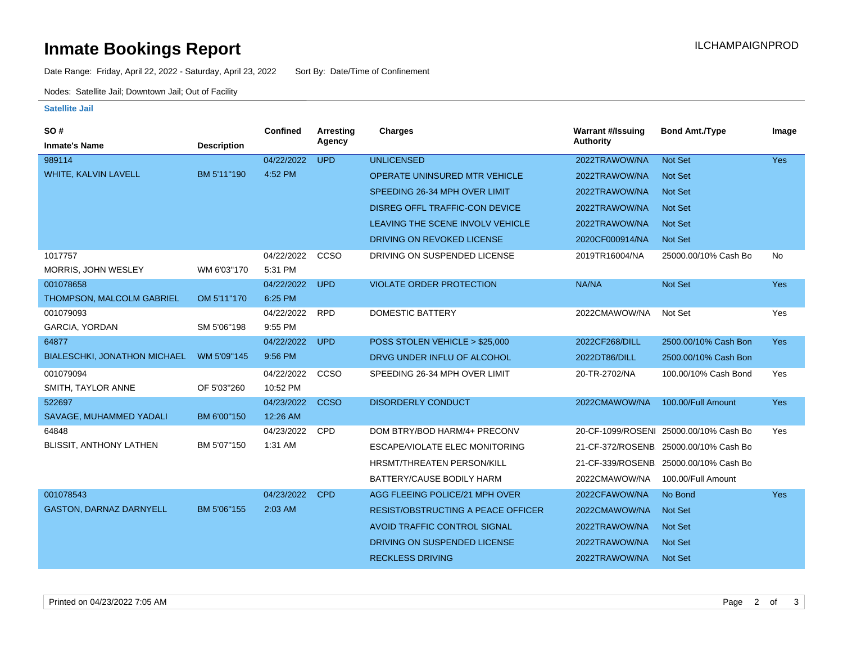## **Inmate Bookings Report International Contract Contract Contract Contract Contract Contract Contract Contract Contract Contract Contract Contract Contract Contract Contract Contract Contract Contract Contract Contract Co**

Date Range: Friday, April 22, 2022 - Saturday, April 23, 2022 Sort By: Date/Time of Confinement

Nodes: Satellite Jail; Downtown Jail; Out of Facility

#### **Satellite Jail**

| SO#                              |                    | <b>Confined</b> | Arresting   | <b>Charges</b>                            | <b>Warrant #/Issuing</b> | <b>Bond Amt./Type</b>                  | Image      |
|----------------------------------|--------------------|-----------------|-------------|-------------------------------------------|--------------------------|----------------------------------------|------------|
| <b>Inmate's Name</b>             | <b>Description</b> |                 | Agency      |                                           | Authority                |                                        |            |
| 989114                           |                    | 04/22/2022      | <b>UPD</b>  | <b>UNLICENSED</b>                         | 2022TRAWOW/NA            | <b>Not Set</b>                         | <b>Yes</b> |
| WHITE, KALVIN LAVELL             | BM 5'11"190        | 4:52 PM         |             | OPERATE UNINSURED MTR VEHICLE             | 2022TRAWOW/NA            | <b>Not Set</b>                         |            |
|                                  |                    |                 |             | SPEEDING 26-34 MPH OVER LIMIT             | 2022TRAWOW/NA            | <b>Not Set</b>                         |            |
|                                  |                    |                 |             | DISREG OFFL TRAFFIC-CON DEVICE            | 2022TRAWOW/NA            | <b>Not Set</b>                         |            |
|                                  |                    |                 |             | LEAVING THE SCENE INVOLV VEHICLE          | 2022TRAWOW/NA            | <b>Not Set</b>                         |            |
|                                  |                    |                 |             | DRIVING ON REVOKED LICENSE                | 2020CF000914/NA          | <b>Not Set</b>                         |            |
| 1017757                          |                    | 04/22/2022      | CCSO        | DRIVING ON SUSPENDED LICENSE              | 2019TR16004/NA           | 25000.00/10% Cash Bo                   | No         |
| MORRIS, JOHN WESLEY              | WM 6'03"170        | 5:31 PM         |             |                                           |                          |                                        |            |
| 001078658                        |                    | 04/22/2022      | <b>UPD</b>  | <b>VIOLATE ORDER PROTECTION</b>           | NA/NA                    | Not Set                                | <b>Yes</b> |
| <b>THOMPSON, MALCOLM GABRIEL</b> | OM 5'11"170        | 6:25 PM         |             |                                           |                          |                                        |            |
| 001079093                        |                    | 04/22/2022      | <b>RPD</b>  | DOMESTIC BATTERY                          | 2022CMAWOW/NA            | Not Set                                | Yes        |
| GARCIA, YORDAN                   | SM 5'06"198        | 9:55 PM         |             |                                           |                          |                                        |            |
| 64877                            |                    | 04/22/2022      | <b>UPD</b>  | POSS STOLEN VEHICLE > \$25,000            | 2022CF268/DILL           | 2500.00/10% Cash Bon                   | <b>Yes</b> |
| BIALESCHKI, JONATHON MICHAEL     | WM 5'09"145        | 9:56 PM         |             | DRVG UNDER INFLU OF ALCOHOL               | 2022DT86/DILL            | 2500.00/10% Cash Bon                   |            |
| 001079094                        |                    | 04/22/2022      | CCSO        | SPEEDING 26-34 MPH OVER LIMIT             | 20-TR-2702/NA            | 100.00/10% Cash Bond                   | Yes        |
| SMITH, TAYLOR ANNE               | OF 5'03"260        | 10:52 PM        |             |                                           |                          |                                        |            |
| 522697                           |                    | 04/23/2022      | <b>CCSO</b> | <b>DISORDERLY CONDUCT</b>                 | 2022CMAWOW/NA            | 100.00/Full Amount                     | Yes        |
| SAVAGE, MUHAMMED YADALI          | BM 6'00"150        | 12:26 AM        |             |                                           |                          |                                        |            |
| 64848                            |                    | 04/23/2022      | <b>CPD</b>  | DOM BTRY/BOD HARM/4+ PRECONV              |                          | 20-CF-1099/ROSENI 25000.00/10% Cash Bo | Yes        |
| BLISSIT, ANTHONY LATHEN          | BM 5'07"150        | 1:31 AM         |             | <b>ESCAPE/VIOLATE ELEC MONITORING</b>     |                          | 21-CF-372/ROSENB 25000.00/10% Cash Bo  |            |
|                                  |                    |                 |             | HRSMT/THREATEN PERSON/KILL                |                          | 21-CF-339/ROSENB 25000.00/10% Cash Bo  |            |
|                                  |                    |                 |             | BATTERY/CAUSE BODILY HARM                 | 2022CMAWOW/NA            | 100.00/Full Amount                     |            |
| 001078543                        |                    | 04/23/2022      | <b>CPD</b>  | AGG FLEEING POLICE/21 MPH OVER            | 2022CFAWOW/NA            | No Bond                                | <b>Yes</b> |
| <b>GASTON, DARNAZ DARNYELL</b>   | BM 5'06"155        | 2:03 AM         |             | <b>RESIST/OBSTRUCTING A PEACE OFFICER</b> | 2022CMAWOW/NA            | <b>Not Set</b>                         |            |
|                                  |                    |                 |             | AVOID TRAFFIC CONTROL SIGNAL              | 2022TRAWOW/NA            | <b>Not Set</b>                         |            |
|                                  |                    |                 |             | DRIVING ON SUSPENDED LICENSE              | 2022TRAWOW/NA            | <b>Not Set</b>                         |            |
|                                  |                    |                 |             | <b>RECKLESS DRIVING</b>                   | 2022TRAWOW/NA            | <b>Not Set</b>                         |            |